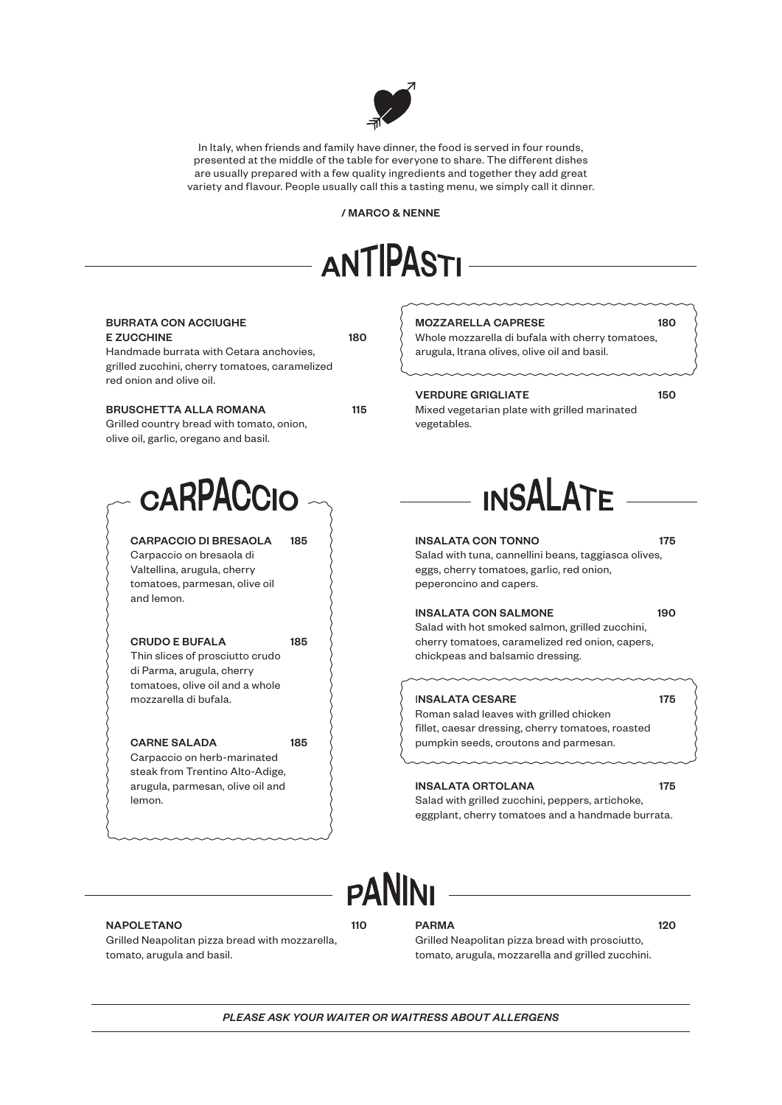

In Italy, when friends and family have dinner, the food is served in four rounds, presented at the middle of the table for everyone to share. The different dishes are usually prepared with a few quality ingredients and together they add great variety and flavour. People usually call this a tasting menu, we simply call it dinner.

/ MARCO & NENNE



| <b>BURRATA CON ACCIUGHE</b><br><b>E ZUCCHINE</b><br>Handmade burrata with Cetara anchovies,<br>grilled zucchini, cherry tomatoes, caramelized   | 180           | <b>MOZZARELLA CAPRESE</b><br>Whole mozzarella di bufala with cherry tomatoes,<br>arugula, Itrana olives, olive oil and basil.                                         | 180 |
|-------------------------------------------------------------------------------------------------------------------------------------------------|---------------|-----------------------------------------------------------------------------------------------------------------------------------------------------------------------|-----|
| red onion and olive oil.<br><b>BRUSCHETTA ALLA ROMANA</b><br>Grilled country bread with tomato, onion,<br>olive oil, garlic, oregano and basil. | 115           | <b>VERDURE GRIGLIATE</b><br>Mixed vegetarian plate with grilled marinated<br>vegetables.                                                                              | 150 |
| <b>CARPACCIO</b>                                                                                                                                |               | <b>INSALATE</b>                                                                                                                                                       |     |
| <b>CARPACCIO DI BRESAOLA</b><br>185<br>Carpaccio on bresaola di<br>Valtellina, arugula, cherry<br>tomatoes, parmesan, olive oil<br>and lemon.   |               | <b>INSALATA CON TONNO</b><br>Salad with tuna, cannellini beans, taggiasca olives,<br>eggs, cherry tomatoes, garlic, red onion,<br>peperoncino and capers.             | 175 |
| 185<br><b>CRUDO E BUFALA</b><br>Thin slices of prosciutto crudo<br>di Parma, arugula, cherry                                                    |               | <b>INSALATA CON SALMONE</b><br>Salad with hot smoked salmon, grilled zucchini,<br>cherry tomatoes, caramelized red onion, capers,<br>chickpeas and balsamic dressing. | 190 |
| tomatoes, olive oil and a whole<br>mozzarella di bufala.<br>185<br><b>CARNE SALADA</b><br>Carpaccio on herb-marinated                           |               | <b>INSALATA CESARE</b><br>Roman salad leaves with grilled chicken<br>fillet, caesar dressing, cherry tomatoes, roasted<br>pumpkin seeds, croutons and parmesan.       | 175 |
| steak from Trentino Alto-Adige,<br>arugula, parmesan, olive oil and<br>lemon.                                                                   |               | <b>INSALATA ORTOLANA</b><br>Salad with grilled zucchini, peppers, artichoke,<br>eggplant, cherry tomatoes and a handmade burrata.                                     | 175 |
|                                                                                                                                                 | <b>PANINI</b> |                                                                                                                                                                       |     |

### NAPOLETANO 110

Grilled Neapolitan pizza bread with mozzarella, tomato, arugula and basil.

PARMA 120

Grilled Neapolitan pizza bread with prosciutto, tomato, arugula, mozzarella and grilled zucchini.

*PLEASE ASK YOUR WAITER OR WAITRESS ABOUT ALLERGENS*